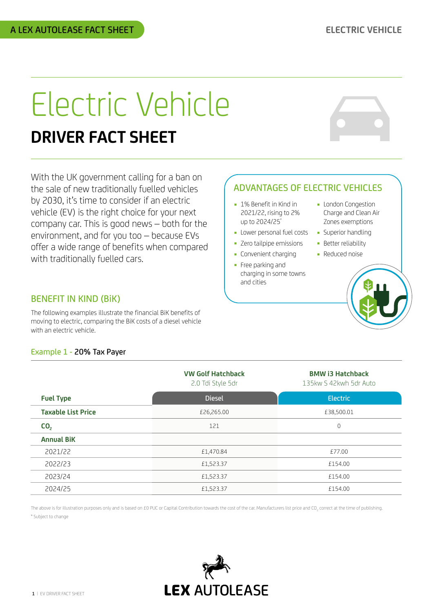# Electric Vehicle **DRIVER FACT SHEET**

With the UK government calling for a ban on the sale of new traditionally fuelled vehicles by 2030, it's time to consider if an electric vehicle (EV) is the right choice for your next company car. This is good news – both for the environment, and for you too – because EVs offer a wide range of benefits when compared with traditionally fuelled cars.

# BENEFIT IN KIND (BiK)

The following examples illustrate the financial BiK benefits of moving to electric, comparing the BiK costs of a diesel vehicle with an electric vehicle.

## Example 1 - 20% Tax Payer

|                           | <b>VW Golf Hatchback</b><br>2.0 Tdi Style 5dr | <b>BMW i3 Hatchback</b><br>135kw S 42kwh 5dr Auto |
|---------------------------|-----------------------------------------------|---------------------------------------------------|
| <b>Fuel Type</b>          | <b>Diesel</b>                                 | <b>Electric</b>                                   |
| <b>Taxable List Price</b> | £26,265.00                                    | £38,500.01                                        |
| CO <sub>2</sub>           | 121                                           | 0                                                 |
| <b>Annual BiK</b>         |                                               |                                                   |
| 2021/22                   | £1,470.84                                     | £77.00                                            |
| 2022/23                   | £1,523.37                                     | £154.00                                           |
| 2023/24                   | £1,523.37                                     | £154.00                                           |
| 2024/25                   | £1,523.37                                     | £154.00                                           |

The above is for illustration purposes only and is based on £0 PUC or Capital Contribution towards the cost of the car. Manufacturers list price and CO<sub>2</sub> correct at the time of publishing \* Subject to change





# ADVANTAGES OF ELECTRIC VEHICLES

- 1% Benefit in Kind in 2021/22, rising to 2% up to 2024/25\*
- **-** Lower personal fuel costs
- Zero tailpipe emissions
- Convenient charging
- ■ Free parking and charging in some towns and cities
- ■ London Congestion Charge and Clean Air Zones exemptions
- Superior handling
- Better reliability
- Reduced noise